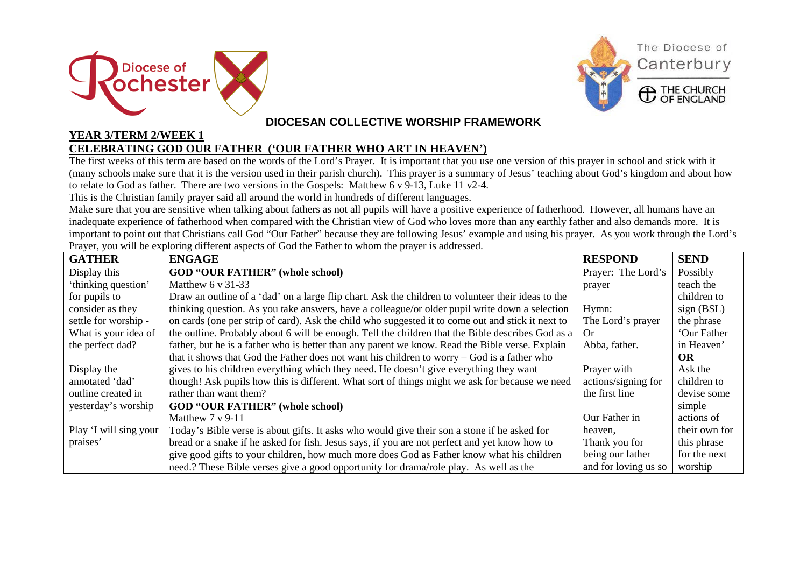



## **DIOCESAN COLLECTIVE WORSHIP FRAMEWORK**

## **YEAR 3/TERM 2/WEEK 1 CELEBRATING GOD OUR FATHER ('OUR FATHER WHO ART IN HEAVEN')**

The first weeks of this term are based on the words of the Lord's Prayer. It is important that you use one version of this prayer in school and stick with it (many schools make sure that it is the version used in their parish church). This prayer is a summary of Jesus' teaching about God's kingdom and about how to relate to God as father. There are two versions in the Gospels: Matthew 6 v 9-13, Luke 11 v2-4.

This is the Christian family prayer said all around the world in hundreds of different languages.

Make sure that you are sensitive when talking about fathers as not all pupils will have a positive experience of fatherhood. However, all humans have an inadequate experience of fatherhood when compared with the Christian view of God who loves more than any earthly father and also demands more. It is important to point out that Christians call God "Our Father" because they are following Jesus' example and using his prayer. As you work through the Lord's Prayer, you will be exploring different aspects of God the Father to whom the prayer is addressed.

| <b>GATHER</b>          | <b>ENGAGE</b>                                                                                      | <b>RESPOND</b>       | <b>SEND</b>   |
|------------------------|----------------------------------------------------------------------------------------------------|----------------------|---------------|
| Display this           | <b>GOD "OUR FATHER" (whole school)</b>                                                             | Prayer: The Lord's   | Possibly      |
| 'thinking question'    | Matthew $6 \text{ y } 31-33$                                                                       | prayer               | teach the     |
| for pupils to          | Draw an outline of a 'dad' on a large flip chart. Ask the children to volunteer their ideas to the |                      | children to   |
| consider as they       | thinking question. As you take answers, have a colleague/or older pupil write down a selection     | Hymn:                | sign (BSL)    |
| settle for worship -   | on cards (one per strip of card). Ask the child who suggested it to come out and stick it next to  | The Lord's prayer    | the phrase    |
| What is your idea of   | the outline. Probably about 6 will be enough. Tell the children that the Bible describes God as a  | Or                   | 'Our Father   |
| the perfect dad?       | father, but he is a father who is better than any parent we know. Read the Bible verse. Explain    | Abba, father.        | in Heaven'    |
|                        | that it shows that God the Father does not want his children to worry – God is a father who        |                      | <b>OR</b>     |
| Display the            | gives to his children everything which they need. He doesn't give everything they want             | Prayer with          | Ask the       |
| annotated 'dad'        | though! Ask pupils how this is different. What sort of things might we ask for because we need     | actions/signing for  | children to   |
| outline created in     | rather than want them?                                                                             | the first line       | devise some   |
| yesterday's worship    | <b>GOD "OUR FATHER" (whole school)</b>                                                             |                      | simple        |
|                        | Matthew $7 \text{ y } 9-11$                                                                        | Our Father in        | actions of    |
| Play 'I will sing your | Today's Bible verse is about gifts. It asks who would give their son a stone if he asked for       | heaven,              | their own for |
| praises'               | bread or a snake if he asked for fish. Jesus says, if you are not perfect and yet know how to      | Thank you for        | this phrase   |
|                        | give good gifts to your children, how much more does God as Father know what his children          | being our father     | for the next  |
|                        | need.? These Bible verses give a good opportunity for drama/role play. As well as the              | and for loving us so | worship       |